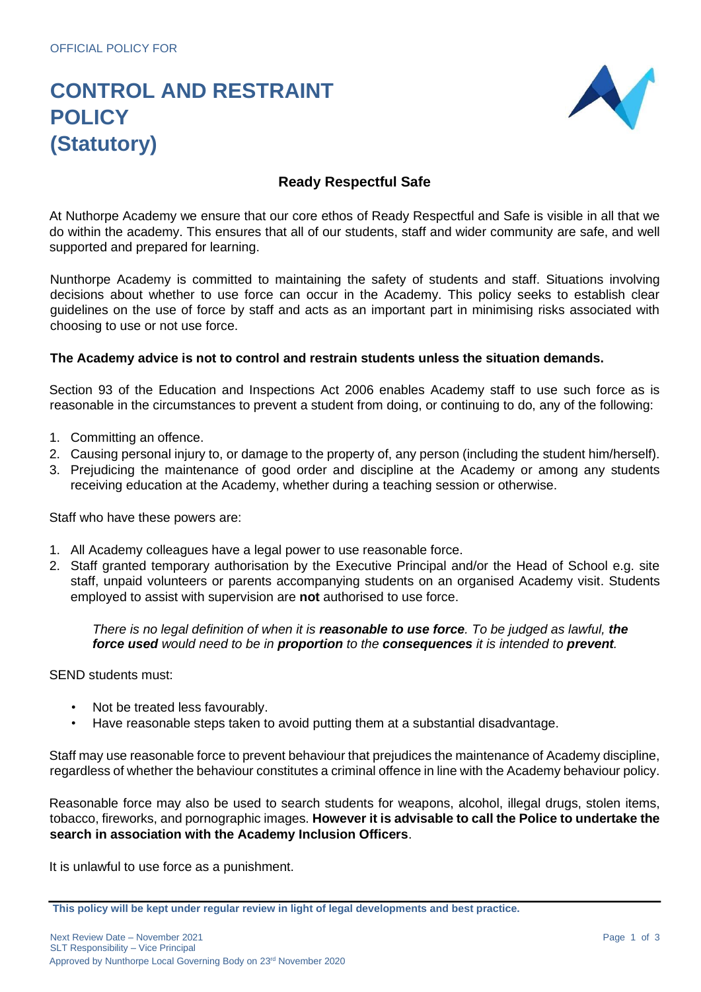# **CONTROL AND RESTRAINT POLICY (Statutory)**



## **Ready Respectful Safe**

At Nuthorpe Academy we ensure that our core ethos of Ready Respectful and Safe is visible in all that we do within the academy. This ensures that all of our students, staff and wider community are safe, and well supported and prepared for learning.

Nunthorpe Academy is committed to maintaining the safety of students and staff. Situations involving decisions about whether to use force can occur in the Academy. This policy seeks to establish clear guidelines on the use of force by staff and acts as an important part in minimising risks associated with choosing to use or not use force.

#### **The Academy advice is not to control and restrain students unless the situation demands.**

Section 93 of the Education and Inspections Act 2006 enables Academy staff to use such force as is reasonable in the circumstances to prevent a student from doing, or continuing to do, any of the following:

- 1. Committing an offence.
- 2. Causing personal injury to, or damage to the property of, any person (including the student him/herself).
- 3. Prejudicing the maintenance of good order and discipline at the Academy or among any students receiving education at the Academy, whether during a teaching session or otherwise.

Staff who have these powers are:

- 1. All Academy colleagues have a legal power to use reasonable force.
- 2. Staff granted temporary authorisation by the Executive Principal and/or the Head of School e.g. site staff, unpaid volunteers or parents accompanying students on an organised Academy visit. Students employed to assist with supervision are **not** authorised to use force.

*There is no legal definition of when it is reasonable to use force. To be judged as lawful, the force used would need to be in proportion to the consequences it is intended to prevent.* 

SEND students must:

- Not be treated less favourably.
- Have reasonable steps taken to avoid putting them at a substantial disadvantage.

Staff may use reasonable force to prevent behaviour that prejudices the maintenance of Academy discipline, regardless of whether the behaviour constitutes a criminal offence in line with the Academy behaviour policy.

Reasonable force may also be used to search students for weapons, alcohol, illegal drugs, stolen items, tobacco, fireworks, and pornographic images. **However it is advisable to call the Police to undertake the search in association with the Academy Inclusion Officers**.

It is unlawful to use force as a punishment.

**This policy will be kept under regular review in light of legal developments and best practice.**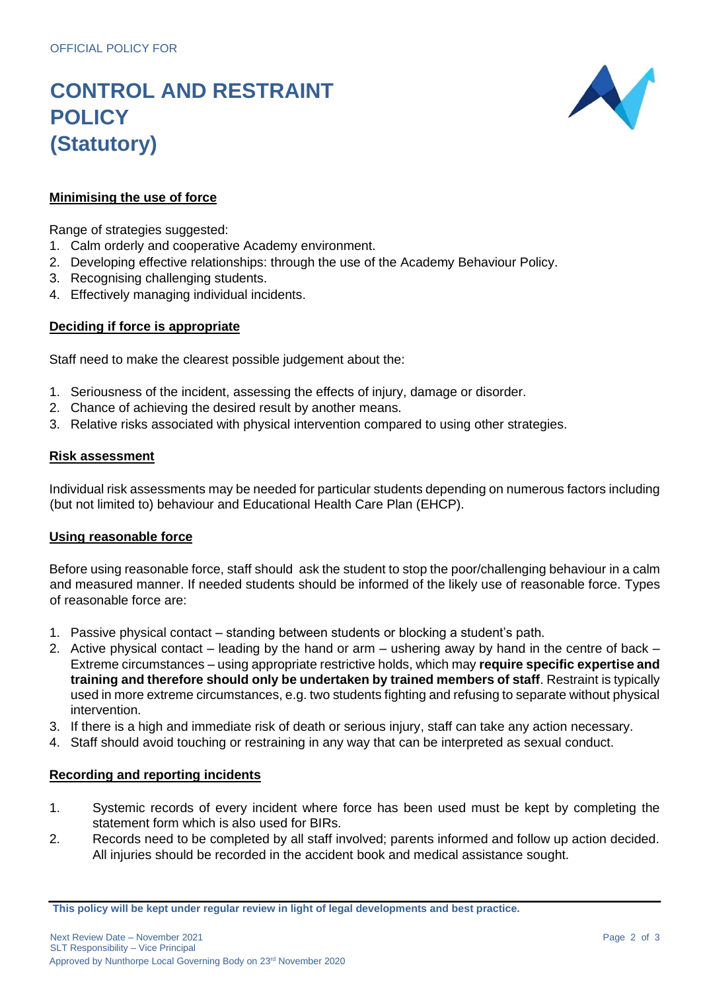# **CONTROL AND RESTRAINT POLICY (Statutory)**



### **Minimising the use of force**

Range of strategies suggested:

- 1. Calm orderly and cooperative Academy environment.
- 2. Developing effective relationships: through the use of the Academy Behaviour Policy.
- 3. Recognising challenging students.
- 4. Effectively managing individual incidents.

### **Deciding if force is appropriate**

Staff need to make the clearest possible judgement about the:

- 1. Seriousness of the incident, assessing the effects of injury, damage or disorder.
- 2. Chance of achieving the desired result by another means.
- 3. Relative risks associated with physical intervention compared to using other strategies.

#### **Risk assessment**

Individual risk assessments may be needed for particular students depending on numerous factors including (but not limited to) behaviour and Educational Health Care Plan (EHCP).

#### **Using reasonable force**

Before using reasonable force, staff should ask the student to stop the poor/challenging behaviour in a calm and measured manner. If needed students should be informed of the likely use of reasonable force. Types of reasonable force are:

- 1. Passive physical contact standing between students or blocking a student's path.
- 2. Active physical contact leading by the hand or arm ushering away by hand in the centre of back Extreme circumstances – using appropriate restrictive holds, which may **require specific expertise and training and therefore should only be undertaken by trained members of staff**. Restraint is typically used in more extreme circumstances, e.g. two students fighting and refusing to separate without physical intervention.
- 3. If there is a high and immediate risk of death or serious injury, staff can take any action necessary.
- 4. Staff should avoid touching or restraining in any way that can be interpreted as sexual conduct.

#### **Recording and reporting incidents**

- 1. Systemic records of every incident where force has been used must be kept by completing the statement form which is also used for BIRs.
- 2. Records need to be completed by all staff involved; parents informed and follow up action decided. All injuries should be recorded in the accident book and medical assistance sought.

**This policy will be kept under regular review in light of legal developments and best practice.**